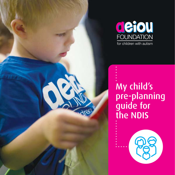

### My child's pre-planning guide for the NDIS

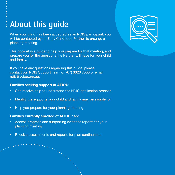### About this guide

When your child has been accepted as an NDIS participant, you will be contacted by an Early Childhood Partner to arrange a planning meeting.

This booklet is a guide to help you prepare for that meeting, and prepare you for the questions the Partner will have for your child and family.

If you have any questions regarding this guide, please contact our NDIS Support Team on (07) 3320 7500 or email ndis@aeiou.org.au.

#### **Families seeking support at AEIOU:**

- Can receive help to understand the NDIS application process
- Identify the supports your child and family may be eligible for
- Help you prepare for your planning meeting

#### **Families currently enrolled at AEIOU can:**

- Access progress and supporting evidence reports for your planning meeting
- Receive assessments and reports for plan continuance

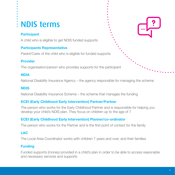### NDIS terms

#### **Participant**

A child who is eligible to get NDIS funded supports

#### **Participants Representative**

Parent/Carer of the child who is eligible for funded supports

#### **Provider**

The organisation/person who provides supports for the participant

#### **NDIA**

National Disability Insurance Agency – the agency responsible for managing the scheme

#### **NDIS**

National Disability Insurance Scheme – the scheme that manages the funding

#### **ECEI (Early Childhood Early Intervention) Partner/Partner**

The person who works for the Early Childhood Partner and is responsible for helping you develop your child's NDIS plan. They focus on children up to the age of 7

#### **ECEI (Early Childhood Early Intervention) Planner/co-ordinator**

The person who works for the Partner and is the first point of contact for the family

#### **LAC**

The Local Area Coordinator works with children 7 years and over, and their families

#### **Funding**

Funded supports (money) provided in a child's plan in order to be able to access reasonable and necessary services and supports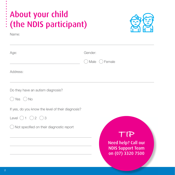### About your child  $\frac{1}{2}$  (the NDIS participant)



Name:

| Age:                                                             | Gender:<br>( ) Male | $( )$ Female                                                               |
|------------------------------------------------------------------|---------------------|----------------------------------------------------------------------------|
| Address:                                                         |                     |                                                                            |
| Do they have an autism diagnosis?                                |                     |                                                                            |
| Yes $()$ No<br>If yes, do you know the level of their diagnosis? |                     |                                                                            |
| Level $()1()2()3$<br>Not specified on their diagnostic report    |                     |                                                                            |
|                                                                  |                     | TP<br>Need help? Call our<br><b>NDIS Support Team</b><br>on (07) 3320 7500 |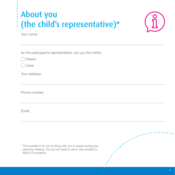## About you (the child's representative)**\***



Your name:

As the participant's representative, are you the child's:

O Parent

Carer

Your address:

Phone number:

Email:

\* This booklet is for you to bring with you to assist during your planning meeting. You do not need to return this booklet to AEIOU Foundation.

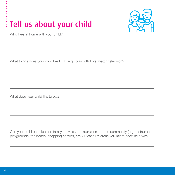#### $\ddot{\bullet}$ Tell us about your child



Who lives at home with your child?

What things does your child like to do e.g., play with toys, watch television?

What does your child like to eat?

Can your child participate in family activities or excursions into the community (e.g. restaurants, playgrounds, the beach, shopping centres, etc)? Please list areas you might need help with.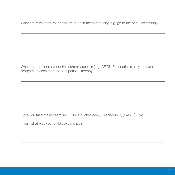What activities does your child like to do in the community (e.g. go to the park, swimming)?

What supports does your child currently access (e.g. AEIOU Foundation's early intervention program, speech therapy, occupational therapy)?

|  |  |  | Have you tried mainstream supports (e.g. child care, preschool)? $\bigcirc$ Yes $\bigcirc$ No |  |
|--|--|--|-----------------------------------------------------------------------------------------------|--|
|  |  |  |                                                                                               |  |
|  |  |  |                                                                                               |  |

If yes, what was your child's experience?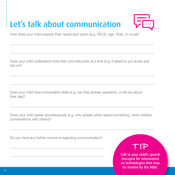### Let's talk about communication



How does your child express their needs and wants (e.g. PECS, sign, iPad, or vocal)?

Does your child understand more than one instruction at a time (e.g. if asked to put shoes and hat on)?

Does your child have conversation skills (e.g. can they answer questions, or tell you about their day)?

Does your child speak spontaneously (e.g. only speaks when asked something, never initiates conversations with others)?

Do you have any further concerns regarding communication?

### **TIP**

Talk to your child's speech therapist for information on technologies that may be funded by the NDIS.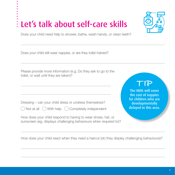### Let's talk about self-care skills

Does your child need help to shower, bathe, wash hands, or clean teeth?

Does your child still wear nappies, or are they toilet trained?

Please provide more information (e.g. Do they ask to go to the toilet, or wait until they are taken)?

Dressing – can your child dress or undress themselves?

Not at all  $\bigcirc$  With help  $\bigcirc$  Completely independent

How does your child respond to having to wear shoes, hat, or sunscreen (eg, displays challenging behaviours when required to)?

**TIP** The NDIS will cover the cost of nappies for children who are developmentally delayed in this area.

How does your child react when they need a haircut (do they display challenging behaviours)?

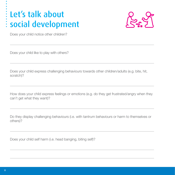### Let's talk about social development



Does your child notice other children?

Does your child like to play with others?

Does your child express challenging behaviours towards other children/adults (e.g. bite, hit, scratch)?

How does your child express feelings or emotions (e.g. do they get frustrated/angry when they can't get what they want)?

Do they display challenging behaviours (i.e. with tantrum behaviours or harm to themselves or others)?

Does your child self harm (i.e. head banging, biting self)?

 $\ddot{\phantom{a}}$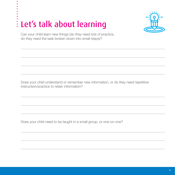#### $\ddot{\bullet}$ Let's talk about learning



Can your child learn new things (do they need lots of practice, do they need the task broken down into small steps)?

Does your child understand or remember new information, or do they need repetitive instruction/practice to retain information?

Does your child need to be taught in a small group, or one-on-one?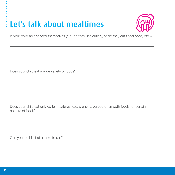#### $\ddot{\bullet}$ Let's talk about mealtimes



Is your child able to feed themselves (e.g. do they use cutlery, or do they eat finger food, etc.)?

Does your child eat a wide variety of foods?

Does your child eat only certain textures (e.g. crunchy, pureed or smooth foods, or certain colours of food)?

Can your child sit at a table to eat?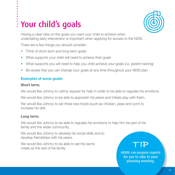### Your child's goals



Having a clear idea on the goals you want your child to achieve when undertaking early intervention is important when applying for access to the NDIS.

There are a few things you should consider:

- Think of short-term and long-term goals
- What supports your child will need to achieve their goals
- What supports you will need to help you child achieve your goals (i.e. parent training)
- Be aware that you can change your goals at any time throughout your NDIS plan

#### **Examples of some goals:**

#### **Short term;**

We would like Johnny to calmly request for help in order to be able to requiate his emotions.

We would like Johnny to be able to approach his peers and initiate play with them.

We would like Johnny to eat three new foods (such as chicken, peas and corn) to increase his diet.

#### **Long term;**

We would like Johnny to be able to regulate his emotions to help him be part of his family and the wider community.

We would like Johnny to develop his social skills and to develop friendships with his peers.

We would like Johnny to be able to eat the same We would like Johnny to be able to eat the same<br>meals as the rest of his family.

AEIOU can prepare reports for you to take to your planning meeting.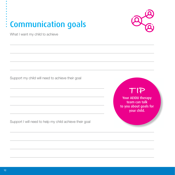### Communication goals  $\ddot{\bullet}$



What I want my child to achieve

Support my child will need to achieve their goal

Support I will need to help my child achieve their goal

### **TIP**

Your AEIOU therapy team can talk to you about goals for your child.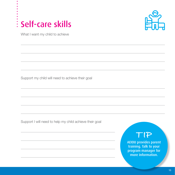# Self-care skills



What I want my child to achieve

Support my child will need to achieve their goal

Support I will need to help my child achieve their goal

### **TIP**

AEIOU provides parent training. Talk to your program manager for more information.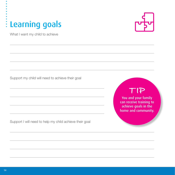#### Learning goals  $\ddot{\bullet}$



What I want my child to achieve

Support my child will need to achieve their goal

Support I will need to help my child achieve their goal

### **TIP**

You and your family can receive training to achieve goals in the home and community.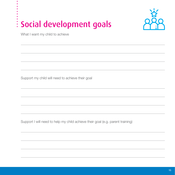#### Social development goals  $\ddot{\bullet}$



What I want my child to achieve

Support my child will need to achieve their goal

Support I will need to help my child achieve their goal (e.g. parent training)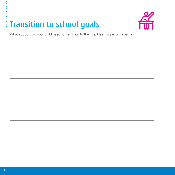### : Transition to school goals



What support will your child need to transition to their next learning environment?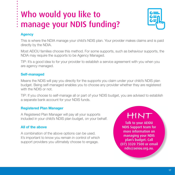### Who would you like to manage your NDIS funding?



#### **Agency**

This is where the NDIA manage your child's NDIS plan. Your provider makes claims and is paid directly by the NDIA.

Most AEIOU families choose this method. For some supports, such as behaviour supports, the NDIA may require the supports to be Agency Managed.

TIP: It's a good idea to for your provider to establish a service agreement with you when you are agency managed.

#### **Self-managed**

Means the NDIS will pay you directly for the supports you claim under your child's NDIS plan budget. Being self-managed enables you to choose any provider whether they are registered with the NDIS or not.

TIP: If you choose to self-manage all or part of your NDIS budget, you are advised to establish a separate bank account for your NDIS funds.

#### **Registered Plan Manager**

A Registered Plan Manager will pay all your supports included in your child's NDIS plan budget, on your behalf.

#### **All of the above**

A combination of the above options can be used. It's important to know you remain in control of which support providers you ultimately choose to engage.

### **HINT**

Talk to your AEIOU NDIS Support team for more information on managing your NDIS plan's budget. Call (07) 3320 7500 or email ndis@aeiou.org.au.